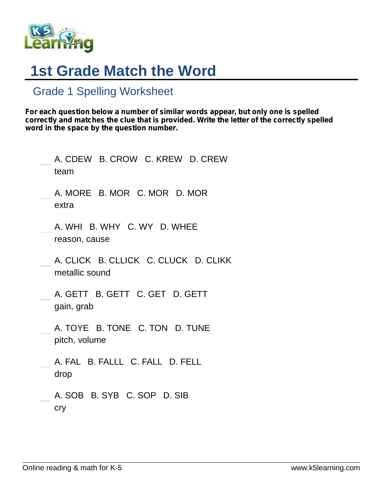

## **1st Grade Match the Word**

## Grade 1 Spelling Worksheet

*For each question below a number of similar words appear, but only one is spelled correctly and matches the clue that is provided. Write the letter of the correctly spelled word in the space by the question number.*

| A. CDEW B. CROW C. KREW D. CREW<br>team                |  |
|--------------------------------------------------------|--|
| A. MORE B. MOR C. MOR D. MOR<br>extra                  |  |
| A. WHI B. WHY C. WY D. WHEE<br>reason, cause           |  |
| A. CLICK B. CLLICK C. CLUCK D. CLIKK<br>metallic sound |  |
| A. GETT B. GETT C. GET D. GETT<br>gain, grab           |  |
| A. TOYE B. TONE C. TON D. TUNE<br>pitch, volume        |  |
| A. FAL B. FALLL C. FALL D. FELL<br>drop                |  |
| A. SOB B. SYB C. SOP D. SIB<br>cry                     |  |